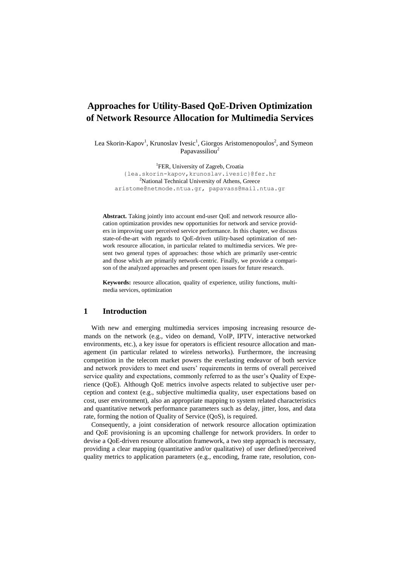# **Approaches for Utility-Based QoE-Driven Optimization of Network Resource Allocation for Multimedia Services**

Lea Skorin-Kapov<sup>1</sup>, Krunoslav Ivesic<sup>1</sup>, Giorgos Aristomenopoulos<sup>2</sup>, and Symeon Papavassiliou<sup>2</sup>

<sup>1</sup>FER, University of Zagreb, Croatia {lea.skorin-kapov,krunoslav.ivesic}@fer.hr <sup>2</sup>National Technical University of Athens, Greece [aristome@netmode.ntua.gr,](mailto:aristome@netmode.ntua.gr) papavass@mail.ntua.gr

**Abstract.** Taking jointly into account end-user QoE and network resource allocation optimization provides new opportunities for network and service providers in improving user perceived service performance. In this chapter, we discuss state-of-the-art with regards to QoE-driven utility-based optimization of network resource allocation, in particular related to multimedia services. We present two general types of approaches: those which are primarily user-centric and those which are primarily network-centric. Finally, we provide a comparison of the analyzed approaches and present open issues for future research.

**Keywords:** resource allocation, quality of experience, utility functions, multimedia services, optimization

## **1 Introduction**

With new and emerging multimedia services imposing increasing resource demands on the network (e.g., video on demand, VoIP, IPTV, interactive networked environments, etc.), a key issue for operators is efficient resource allocation and management (in particular related to wireless networks). Furthermore, the increasing competition in the telecom market powers the everlasting endeavor of both service and network providers to meet end users' requirements in terms of overall perceived service quality and expectations, commonly referred to as the user's Quality of Experience (QoE). Although QoE metrics involve aspects related to subjective user perception and context (e.g., subjective multimedia quality, user expectations based on cost, user environment), also an appropriate mapping to system related characteristics and quantitative network performance parameters such as delay, jitter, loss, and data rate, forming the notion of Quality of Service (QoS), is required.

Consequently, a joint consideration of network resource allocation optimization and QoE provisioning is an upcoming challenge for network providers. In order to devise a QoE-driven resource allocation framework, a two step approach is necessary, providing a clear mapping (quantitative and/or qualitative) of user defined/perceived quality metrics to application parameters (e.g., encoding, frame rate, resolution, con-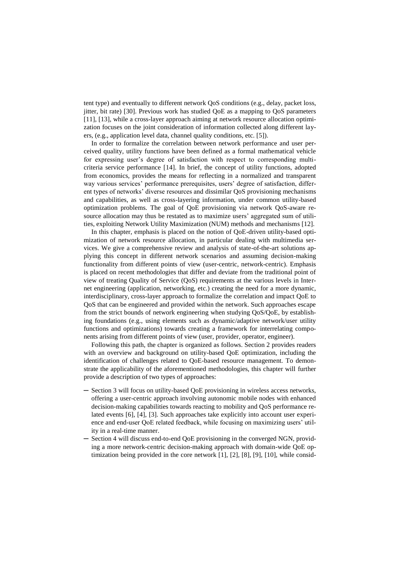tent type) and eventually to different network QoS conditions (e.g., delay, packet loss, jitter, bit rate) [\[30\]](#page-21-0). Previous work has studied QoE as a mapping to QoS parameters [\[11\]](#page-20-0), [\[13\]](#page-20-1), while a cross-layer approach aiming at network resource allocation optimization focuses on the joint consideration of information collected along different layers, (e.g., application level data, channel quality conditions, etc. [\[5\]](#page-19-0)).

In order to formalize the correlation between network performance and user perceived quality, utility functions have been defined as a formal mathematical vehicle for expressing user's degree of satisfaction with respect to corresponding multicriteria service performance [\[14\]](#page-20-2). In brief, the concept of utility functions, adopted from economics, provides the means for reflecting in a normalized and transparent way various services' performance prerequisites, users' degree of satisfaction, different types of networks' diverse resources and dissimilar QoS provisioning mechanisms and capabilities, as well as cross-layering information, under common utility-based optimization problems. The goal of QoE provisioning via network QoS-aware resource allocation may thus be restated as to maximize users' aggregated sum of utilities, exploiting Network Utility Maximization (NUM) methods and mechanisms [\[12\]](#page-20-3).

In this chapter, emphasis is placed on the notion of QoE-driven utility-based optimization of network resource allocation, in particular dealing with multimedia services. We give a comprehensive review and analysis of state-of-the-art solutions applying this concept in different network scenarios and assuming decision-making functionality from different points of view (user-centric, network-centric). Emphasis is placed on recent methodologies that differ and deviate from the traditional point of view of treating Quality of Service (QoS) requirements at the various levels in Internet engineering (application, networking, etc.) creating the need for a more dynamic, interdisciplinary, cross-layer approach to formalize the correlation and impact QoE to QoS that can be engineered and provided within the network. Such approaches escape from the strict bounds of network engineering when studying QoS/QoE, by establishing foundations (e.g., using elements such as dynamic/adaptive network/user utility functions and optimizations) towards creating a framework for interrelating components arising from different points of view (user, provider, operator, engineer).

Following this path, the chapter is organized as follows. Section 2 provides readers with an overview and background on utility-based QoE optimization, including the identification of challenges related to QoE-based resource management. To demonstrate the applicability of the aforementioned methodologies, this chapter will further provide a description of two types of approaches:

- ─ Section 3 will focus on utility-based QoE provisioning in wireless access networks, offering a user-centric approach involving autonomic mobile nodes with enhanced decision-making capabilities towards reacting to mobility and QoS performance related events [\[6\]](#page-19-1), [\[4\]](#page-19-2), [\[3\]](#page-19-3). Such approaches take explicitly into account user experience and end-user QoE related feedback, while focusing on maximizing users' utility in a real-time manner.
- ─ Section 4 will discuss end-to-end QoE provisioning in the converged NGN, providing a more network-centric decision-making approach with domain-wide QoE optimization being provided in the core network [\[1\]](#page-19-4), [\[2\]](#page-19-5), [\[8\]](#page-19-6), [\[9\]](#page-20-4), [\[10\]](#page-20-5), while consid-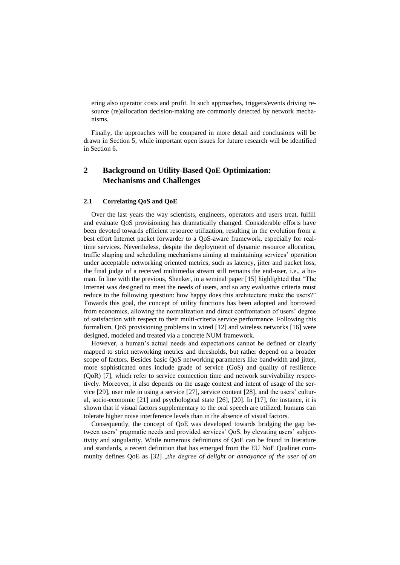ering also operator costs and profit. In such approaches, triggers/events driving resource (re)allocation decision-making are commonly detected by network mechanisms.

Finally, the approaches will be compared in more detail and conclusions will be drawn in Section 5, while important open issues for future research will be identified in Section 6.

## **2 Background on Utility-Based QoE Optimization: Mechanisms and Challenges**

### **2.1 Correlating QoS and QoE**

Over the last years the way scientists, engineers, operators and users treat, fulfill and evaluate QoS provisioning has dramatically changed. Considerable efforts have been devoted towards efficient resource utilization, resulting in the evolution from a best effort Internet packet forwarder to a QoS-aware framework, especially for realtime services. Nevertheless, despite the deployment of dynamic resource allocation, traffic shaping and scheduling mechanisms aiming at maintaining services' operation under acceptable networking oriented metrics, such as latency, jitter and packet loss, the final judge of a received multimedia stream still remains the end-user, i.e., a human. In line with the previous, Shenker, in a seminal paper [\[15\]](#page-20-6) highlighted that "The Internet was designed to meet the needs of users, and so any evaluative criteria must reduce to the following question: how happy does this architecture make the users?" Towards this goal, the concept of utility functions has been adopted and borrowed from economics, allowing the normalization and direct confrontation of users' degree of satisfaction with respect to their multi-criteria service performance. Following this formalism, QoS provisioning problems in wired [\[12\]](#page-20-3) and wireless networks [\[16\]](#page-20-7) were designed, modeled and treated via a concrete NUM framework.

However, a human's actual needs and expectations cannot be defined or clearly mapped to strict networking metrics and thresholds, but rather depend on a broader scope of factors. Besides basic QoS networking parameters like bandwidth and jitter, more sophisticated ones include grade of service (GoS) and quality of resilience (QoR) [\[7\]](#page-19-7), which refer to service connection time and network survivability respectively. Moreover, it also depends on the usage context and intent of usage of the service [\[29\]](#page-21-1), user role in using a service [\[27\]](#page-21-2), service content [\[28\]](#page-21-3), and the users' cultural, socio-economic [\[21\]](#page-20-8) and psychological state [\[26\]](#page-20-9), [\[20\]](#page-20-10). In [\[17\]](#page-20-11), for instance, it is shown that if visual factors supplementary to the oral speech are utilized, humans can tolerate higher noise interference levels than in the absence of visual factors.

Consequently, the concept of QoE was developed towards bridging the gap between users' pragmatic needs and provided services' QoS, by elevating users' subjectivity and singularity. While numerous definitions of QoE can be found in literature and standards, a recent definition that has emerged from the EU NoE Qualinet com-munity defines QoE as [\[32\]](#page-21-4) "the degree of delight or annoyance of the user of an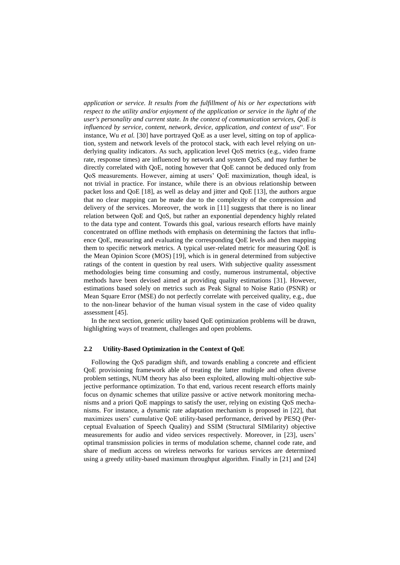*application or service. It results from the fulfillment of his or her expectations with respect to the utility and/or enjoyment of the application or service in the light of the user's personality and current state. In the context of communication services, QoE is influenced by service, content, network, device, application, and context of us*e". For instance, Wu *et al.* [\[30\]](#page-21-0) have portrayed QoE as a user level, sitting on top of application, system and network levels of the protocol stack, with each level relying on underlying quality indicators. As such, application level QoS metrics (e.g., video frame rate, response times) are influenced by network and system QoS, and may further be directly correlated with QoE, noting however that QoE cannot be deduced only from QoS measurements. However, aiming at users' QoE maximization, though ideal, is not trivial in practice. For instance, while there is an obvious relationship between packet loss and QoE [\[18\]](#page-20-12), as well as delay and jitter and QoE [\[13\]](#page-20-1), the authors argue that no clear mapping can be made due to the complexity of the compression and delivery of the services. Moreover, the work in [\[11\]](#page-20-0) suggests that there is no linear relation between QoE and QoS, but rather an exponential dependency highly related to the data type and content. Towards this goal, various research efforts have mainly concentrated on offline methods with emphasis on determining the factors that influence QoE, measuring and evaluating the corresponding QoE levels and then mapping them to specific network metrics. A typical user-related metric for measuring QoE is the Mean Opinion Score (MOS) [\[19\]](#page-20-13), which is in general determined from subjective ratings of the content in question by real users. With subjective quality assessment methodologies being time consuming and costly, numerous instrumental, objective methods have been devised aimed at providing quality estimations [\[31\]](#page-21-5). However, estimations based solely on metrics such as Peak Signal to Noise Ratio (PSNR) or Mean Square Error (MSE) do not perfectly correlate with perceived quality, e.g., due to the non-linear behavior of the human visual system in the case of video quality assessment [\[45\]](#page-21-6).

In the next section, generic utility based QoE optimization problems will be drawn, highlighting ways of treatment, challenges and open problems.

### <span id="page-3-0"></span>**2.2 Utility-Based Optimization in the Context of QoE**

Following the QoS paradigm shift, and towards enabling a concrete and efficient QoE provisioning framework able of treating the latter multiple and often diverse problem settings, NUM theory has also been exploited, allowing multi-objective subjective performance optimization. To that end, various recent research efforts mainly focus on dynamic schemes that utilize passive or active network monitoring mechanisms and a priori QoE mappings to satisfy the user, relying on existing QoS mechanisms. For instance, a dynamic rate adaptation mechanism is proposed in [\[22\]](#page-20-14), that maximizes users' cumulative QoE utility-based performance, derived by PESQ (Perceptual Evaluation of Speech Quality) and SSIM (Structural SIMilarity) objective measurements for audio and video services respectively. Moreover, in [\[23\]](#page-20-15), users' optimal transmission policies in terms of modulation scheme, channel code rate, and share of medium access on wireless networks for various services are determined using a greedy utility-based maximum throughput algorithm. Finally in [\[21\]](#page-20-8) and [\[24\]](#page-20-16)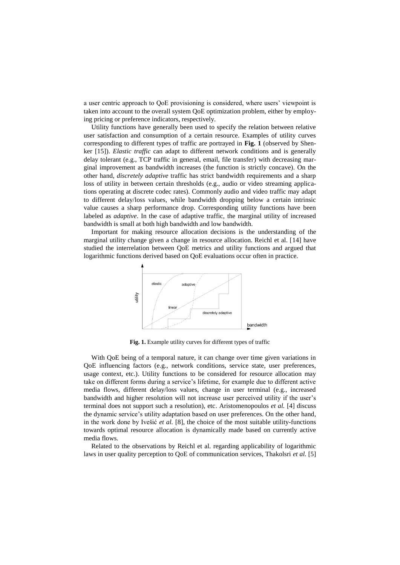a user centric approach to QoE provisioning is considered, where users' viewpoint is taken into account to the overall system QoE optimization problem, either by employing pricing or preference indicators, respectively.

Utility functions have generally been used to specify the relation between relative user satisfaction and consumption of a certain resource. Examples of utility curves corresponding to different types of traffic are portrayed in **[Fig. 1](#page-4-0)** (observed by Shenker [\[15\]](#page-20-6)). *Elastic traffic* can adapt to different network conditions and is generally delay tolerant (e.g., TCP traffic in general, email, file transfer) with decreasing marginal improvement as bandwidth increases (the function is strictly concave). On the other hand, *discretely adaptive* traffic has strict bandwidth requirements and a sharp loss of utility in between certain thresholds (e.g., audio or video streaming applications operating at discrete codec rates). Commonly audio and video traffic may adapt to different delay/loss values, while bandwidth dropping below a certain intrinsic value causes a sharp performance drop. Corresponding utility functions have been labeled as *adaptive*. In the case of adaptive traffic, the marginal utility of increased bandwidth is small at both high bandwidth and low bandwidth.

Important for making resource allocation decisions is the understanding of the marginal utility change given a change in resource allocation. Reichl et al. [\[14\]](#page-20-2) have studied the interrelation between QoE metrics and utility functions and argued that logarithmic functions derived based on QoE evaluations occur often in practice.



**Fig. 1.** Example utility curves for different types of traffic

<span id="page-4-0"></span>With OoE being of a temporal nature, it can change over time given variations in QoE influencing factors (e.g., network conditions, service state, user preferences, usage context, etc.). Utility functions to be considered for resource allocation may take on different forms during a service's lifetime, for example due to different active media flows, different delay/loss values, change in user terminal (e.g., increased bandwidth and higher resolution will not increase user perceived utility if the user's terminal does not support such a resolution), etc. Aristomenopoulos *et al.* [\[4\]](#page-19-2) discuss the dynamic service's utility adaptation based on user preferences. On the other hand, in the work done by Ivešić *et al.* [\[8\]](#page-19-6), the choice of the most suitable utility-functions towards optimal resource allocation is dynamically made based on currently active media flows.

Related to the observations by Reichl et al. regarding applicability of logarithmic laws in user quality perception to QoE of communication services, Thakolsri *et al.* [\[5\]](#page-19-0)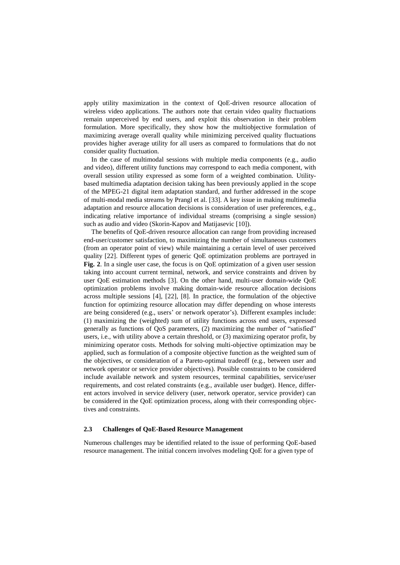apply utility maximization in the context of QoE-driven resource allocation of wireless video applications. The authors note that certain video quality fluctuations remain unperceived by end users, and exploit this observation in their problem formulation. More specifically, they show how the multiobjective formulation of maximizing average overall quality while minimizing perceived quality fluctuations provides higher average utility for all users as compared to formulations that do not consider quality fluctuation.

In the case of multimodal sessions with multiple media components (e.g., audio and video), different utility functions may correspond to each media component, with overall session utility expressed as some form of a weighted combination. Utilitybased multimedia adaptation decision taking has been previously applied in the scope of the MPEG-21 digital item adaptation standard, and further addressed in the scope of multi-modal media streams by Prangl et al. [\[33\]](#page-21-7). A key issue in making multimedia adaptation and resource allocation decisions is consideration of user preferences, e.g., indicating relative importance of individual streams (comprising a single session) such as audio and video (Skorin-Kapov and Matijasevic [\[10\]](#page-20-5)).

The benefits of QoE-driven resource allocation can range from providing increased end-user/customer satisfaction, to maximizing the number of simultaneous customers (from an operator point of view) while maintaining a certain level of user perceived quality [\[22\]](#page-20-14). Different types of generic QoE optimization problems are portrayed in **[Fig. 2](#page-6-0)**. In a single user case, the focus is on QoE optimization of a given user session taking into account current terminal, network, and service constraints and driven by user QoE estimation methods [\[3\]](#page-19-3). On the other hand, multi-user domain-wide QoE optimization problems involve making domain-wide resource allocation decisions across multiple sessions [\[4\]](#page-19-2), [\[22\]](#page-20-14), [\[8\]](#page-19-6). In practice, the formulation of the objective function for optimizing resource allocation may differ depending on whose interests are being considered (e.g., users' or network operator's). Different examples include: (1) maximizing the (weighted) sum of utility functions across end users, expressed generally as functions of QoS parameters, (2) maximizing the number of "satisfied" users, i.e., with utility above a certain threshold, or (3) maximizing operator profit, by minimizing operator costs. Methods for solving multi-objective optimization may be applied, such as formulation of a composite objective function as the weighted sum of the objectives, or consideration of a Pareto-optimal tradeoff (e.g., between user and network operator or service provider objectives). Possible constraints to be considered include available network and system resources, terminal capabilities, service/user requirements, and cost related constraints (e.g., available user budget). Hence, different actors involved in service delivery (user, network operator, service provider) can be considered in the QoE optimization process, along with their corresponding objectives and constraints.

## **2.3 Challenges of QoE-Based Resource Management**

Numerous challenges may be identified related to the issue of performing QoE-based resource management. The initial concern involves modeling QoE for a given type of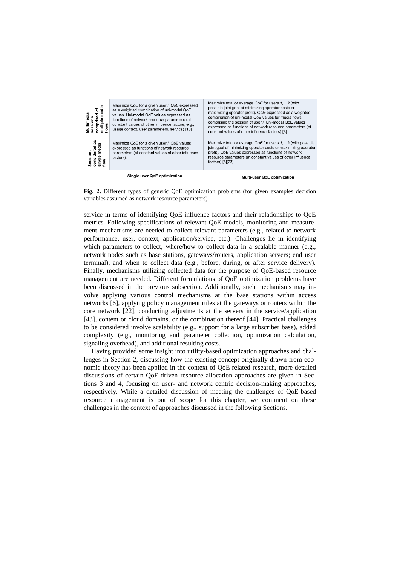| ិ ซื้<br>꿈<br>Multimedi<br>compi<br>Ē             | Maximize QoE for a given user i. QoE expressed<br>as a weighted combination of uni-modal QoE<br>values. Uni-modal QoE values expressed as<br>functions of network resource parameters (at<br>constant values of other influence factors, e.g.,<br>usage context, user parameters, service) [10] | Maximize total or average QoE for users 1,,k (with<br>possible joint goal of minimizing operator costs or<br>maximizing operator profit). QoE <sub>i</sub> expressed as a weighted<br>combination of uni-modal QoE values for media flows<br>comprising the session of user <i>i</i> . Uni-modal QoE values<br>expressed as functions of network resource parameters (at<br>constant values of other influence factors) [8]. |
|---------------------------------------------------|-------------------------------------------------------------------------------------------------------------------------------------------------------------------------------------------------------------------------------------------------------------------------------------------------|------------------------------------------------------------------------------------------------------------------------------------------------------------------------------------------------------------------------------------------------------------------------------------------------------------------------------------------------------------------------------------------------------------------------------|
| Sessions<br>considered as<br>single media<br>flow | Maximize QoE for a given user <i>i</i> . QoE values<br>expressed as functions of network resource<br>parameters (at constant values of other influence<br>factors).                                                                                                                             | Maximize total or average $QoE$ for users $1, \ldots, k$ (with possible<br>joint goal of minimizing operator costs or maximizing operator<br>profit). QoE values expressed as functions of network<br>resource parameters (at constant values of other influence<br>factors) [6][23].                                                                                                                                        |
|                                                   | Single user QoE optimization                                                                                                                                                                                                                                                                    | <b>Multi-user QoE optimization</b>                                                                                                                                                                                                                                                                                                                                                                                           |

<span id="page-6-0"></span>**Fig. 2.** Different types of generic QoE optimization problems (for given examples decision variables assumed as network resource parameters)

service in terms of identifying QoE influence factors and their relationships to QoE metrics. Following specifications of relevant QoE models, monitoring and measurement mechanisms are needed to collect relevant parameters (e.g., related to network performance, user, context, application/service, etc.). Challenges lie in identifying which parameters to collect, where/how to collect data in a scalable manner (e.g., network nodes such as base stations, gateways/routers, application servers; end user terminal), and when to collect data (e.g., before, during, or after service delivery). Finally, mechanisms utilizing collected data for the purpose of QoE-based resource management are needed. Different formulations of QoE optimization problems have been discussed in the previous subsection. Additionally, such mechanisms may involve applying various control mechanisms at the base stations within access networks [\[6\]](#page-19-1), applying policy management rules at the gateways or routers within the core network [\[22\]](#page-20-14), conducting adjustments at the servers in the service/application [\[43\]](#page-21-8), content or cloud domains, or the combination thereof [\[44\]](#page-21-9). Practical challenges to be considered involve scalability (e.g., support for a large subscriber base), added complexity (e.g., monitoring and parameter collection, optimization calculation, signaling overhead), and additional resulting costs.

Having provided some insight into utility-based optimization approaches and challenges in Section 2, discussing how the existing concept originally drawn from economic theory has been applied in the context of QoE related research, more detailed discussions of certain QoE-driven resource allocation approaches are given in Sections 3 and 4, focusing on user- and network centric decision-making approaches, respectively. While a detailed discussion of meeting the challenges of QoE-based resource management is out of scope for this chapter, we comment on these challenges in the context of approaches discussed in the following Sections.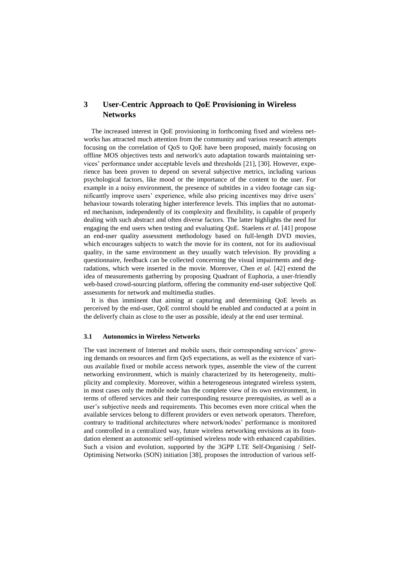## **3 User-Centric Approach to QoE Provisioning in Wireless Networks**

The increased interest in QoE provisioning in forthcoming fixed and wireless networks has attracted much attention from the community and various research attempts focusing on the correlation of QoS to QoE have been proposed, mainly focusing on offline MOS objectives tests and network's auto adaptation towards maintaining services' performance under acceptable levels and thresholds [\[21\]](#page-20-8), [\[30\]](#page-21-0). However, experience has been proven to depend on several subjective metrics, including various psychological factors, like mood or the importance of the content to the user. For example in a noisy environment, the presence of subtitles in a video footage can significantly improve users' experience, while also pricing incentives may drive users' behaviour towards tolerating higher interference levels. This implies that no automated mechanism, independently of its complexity and flexibility, is capable of properly dealing with such abstract and often diverse factors. The latter highlights the need for engaging the end users when testing and evaluating QoE. Staelens *et al.* [\[41\]](#page-21-10) propose an end-user quality assessment methodology based on full-length DVD movies, which encourages subjects to watch the movie for its content, not for its audiovisual quality, in the same environment as they usually watch television. By providing a questionnaire, feedback can be collected concerning the visual impairments and degradations, which were inserted in the movie. Moreover, Chen *et al.* [\[42\]](#page-21-11) extend the idea of measurements gatherring by proposing Quadrant of Euphoria, a user-friendly web-based crowd-sourcing platform, offering the community end-user subjective QoE assessments for network and multimedia studies.

It is thus imminent that aiming at capturing and determining QoE levels as perceived by the end-user, QoE control should be enabled and conducted at a point in the deliverfy chain as close to the user as possible, idealy at the end user terminal.

#### **3.1 Autonomics in Wireless Networks**

The vast increment of Internet and mobile users, their corresponding services' growing demands on resources and firm QoS expectations, as well as the existence of various available fixed or mobile access network types, assemble the view of the current networking environment, which is mainly characterized by its heterogeneity, multiplicity and complexity. Moreover, within a heterogeneous integrated wireless system, in most cases only the mobile node has the complete view of its own environment, in terms of offered services and their corresponding resource prerequisites, as well as a user's subjective needs and requirements. This becomes even more critical when the available services belong to different providers or even network operators. Therefore, contrary to traditional architectures where network/nodes' performance is monitored and controlled in a centralized way, future wireless networking envisions as its foundation element an autonomic self-optimised wireless node with enhanced capabilities. Such a vision and evolution, supported by the 3GPP LTE Self-Organising / Self-Optimising Networks (SON) initiation [\[38\]](#page-21-12), proposes the introduction of various self-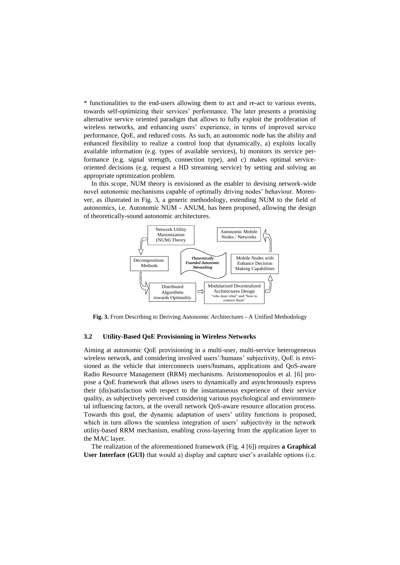\* functionalities to the end-users allowing them to act and re-act to various events, towards self-optimizing their services' performance. The later presents a promising alternative service oriented paradigm that allows to fully exploit the proliferation of wireless networks, and enhancing users' experience, in terms of improved service performance, QoE, and reduced costs. As such, an autonomic node has the ability and enhanced flexibility to realize a control loop that dynamically, a) exploits locally available information (e.g. types of available services), b) monitors its service performance (e.g. signal strength, connection type), and c) makes optimal serviceoriented decisions (e.g. request a HD streaming service) by setting and solving an appropriate optimization problem.

In this scope, NUM theory is envisioned as the enabler to devising network-wide novel autonomic mechanisms capable of optimally driving nodes' behaviour. Moreover, as illustrated in Fig. 3, a generic methodology, extending NUM to the field of autonomics, i.e. Autonomic NUM - ANUM, has been proposed, allowing the design of theoretically-sound autonomic architectures.



**Fig. 3.** From Describing to Deriving Autonomic Architectures - A Unified Methodology

#### **3.2 Utility-Based QoE Provisioning in Wireless Networks**

Aiming at autonomic QoE provisioning in a multi-user, multi-service heterogeneous wireless network, and considering involved users'/humans' subjectivity, QoE is envisioned as the vehicle that interconnects users/humans, applications and QoS-aware Radio Resource Management (RRM) mechanisms. Aristomenopoulos et al. [\[6\]](#page-19-1) propose a QoE framework that allows users to dynamically and asynchronously express their (dis)satisfaction with respect to the instantaneous experience of their service quality, as subjectively perceived considering various psychological and environmental influencing factors, at the overall network QoS-aware resource allocation process. Towards this goal, the dynamic adaptation of users' utility functions is proposed, which in turn allows the seamless integration of users' subjectivity in the network utility-based RRM mechanism, enabling cross-layering from the application layer to the MAC layer.

The realization of the aforementioned framework (Fig. 4 [\[6\]](#page-19-1)) requires **a Graphical User Interface (GUI)** that would a) display and capture user's available options (i.e.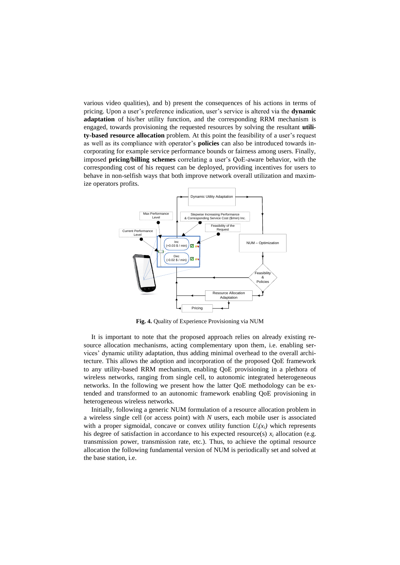various video qualities), and b) present the consequences of his actions in terms of pricing. Upon a user's preference indication, user's service is altered via the **dynamic adaptation** of his/her utility function, and the corresponding RRM mechanism is engaged, towards provisioning the requested resources by solving the resultant **utility-based resource allocation** problem. At this point the feasibility of a user's request as well as its compliance with operator's **policies** can also be introduced towards incorporating for example service performance bounds or fairness among users. Finally, imposed **pricing/billing schemes** correlating a user's QoE-aware behavior, with the corresponding cost of his request can be deployed, providing incentives for users to behave in non-selfish ways that both improve network overall utilization and maximize operators profits.



**Fig. 4.** Quality of Experience Provisioning via NUM

It is important to note that the proposed approach relies on already existing resource allocation mechanisms, acting complementary upon them, i.e. enabling services' dynamic utility adaptation, thus adding minimal overhead to the overall architecture. This allows the adoption and incorporation of the proposed QoE framework to any utility-based RRM mechanism, enabling QoE provisioning in a plethora of wireless networks, ranging from single cell, to autonomic integrated heterogeneous networks. In the following we present how the latter QoE methodology can be extended and transformed to an autonomic framework enabling QoE provisioning in heterogeneous wireless networks.

Initially, following a generic NUM formulation of a resource allocation problem in a wireless single cell (or access point) with *N* users, each mobile user is associated with a proper sigmoidal, concave or convex utility function  $U_i(x_i)$  which represents his degree of satisfaction in accordance to his expected resource(s)  $x_i$  allocation (e.g. transmission power, transmission rate, etc.). Thus, to achieve the optimal resource allocation the following fundamental version of NUM is periodically set and solved at the base station, i.e.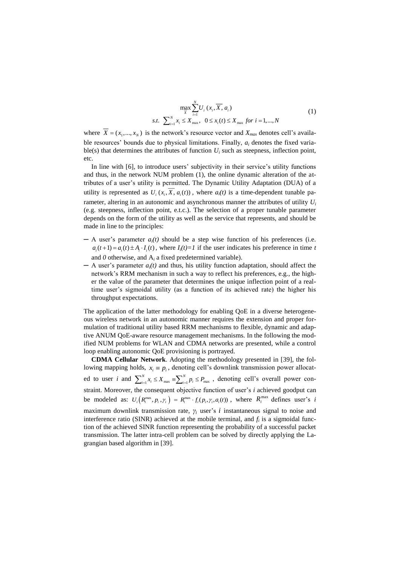$$
\max_{\overline{X}} \sum_{i=1}^{N} U_i (x_i, \overline{X}, a_i)
$$
\n*s.t.*  $\sum_{i=1}^{N} x_i \le X_{\text{max}}, \ 0 \le x_i(t) \le X_{\text{max}} \text{ for } i = 1, ..., N$  (1)

where  $X = (x_1, ..., x_N)$  is the network's resource vector and  $X_{max}$  denotes cell's available resources' bounds due to physical limitations. Finally, *a<sup>i</sup>* denotes the fixed variable(s) that determines the attributes of function  $U_i$  such as steepness, inflection point, etc.

In line with [\[6\]](#page-19-1), to introduce users' subjectivity in their service's utility functions and thus, in the network NUM problem (1), the online dynamic alteration of the attributes of a user's utility is permitted. The Dynamic Utility Adaptation (DUA) of a utility is represented as  $U_i(x_i, X, a_i(t))$ , where  $a_i(t)$  is a time-dependent tunable parameter, altering in an autonomic and asynchronous manner the attributes of utility *U<sup>i</sup>* (e.g. steepness, inflection point, e.t.c.). The selection of a proper tunable parameter depends on the form of the utility as well as the service that represents, and should be made in line to the principles:

- $-$  A user's parameter  $a_i(t)$  should be a step wise function of his preferences (i.e.  $a_i(t+1) = a_i(t) \pm A_i \cdot I_i(t)$ , where  $I_i(t)=1$  if the user indicates his preference in time *t* and *0* otherwise, and A*<sup>i</sup>* a fixed predetermined variable).
- $-$  A user's parameter  $a_i(t)$  and thus, his utility function adaptation, should affect the network's RRM mechanism in such a way to reflect his preferences, e.g., the higher the value of the parameter that determines the unique inflection point of a realtime user's sigmoidal utility (as a function of its achieved rate) the higher his throughput expectations.

The application of the latter methodology for enabling QoE in a diverse heterogeneous wireless network in an autonomic manner requires the extension and proper formulation of traditional utility based RRM mechanisms to flexible, dynamic and adaptive ANUM QoE-aware resource management mechanisms. In the following the modified NUM problems for WLAN and CDMA networks are presented, while a control loop enabling autonomic QoE provisioning is portrayed.

**CDMA Cellular Network**. Adopting the methodology presented in [\[39\]](#page-21-13), the following mapping holds,  $x_i \equiv p_i$ , denoting cell's downlink transmission power allocated to user *i* and  $\sum_{i=1}^{N} x_i \leq X_{\text{max}} = \sum_{i=1}^{N} p_i \leq P_{\text{max}}$ *N N*  $\sum_{i=1}^{N} x_i \leq X_{\text{max}} = \sum_{i=1}^{N} p_i \leq P_{\text{max}}$ , denoting cell's overall power constraint. Moreover, the consequent objective function of user's *i* achieved goodput can be modeled as:  $U_i(R_i^{\max}, p_i, \gamma_i) = R_i^{\max} \cdot f_i(p_i, \gamma_i, a_i(t))$ , where  $R_i^{\max}$  defines user's *i* maximum downlink transmission rate,  $\gamma_i$  user's *i* instantaneous signal to noise and interference ratio (SINR) achieved at the mobile terminal, and  $f_i$  is a sigmoidal function of the achieved SINR function representing the probability of a successful packet transmission. The latter intra-cell problem can be solved by directly applying the Lagrangian based algorithm in [\[39\]](#page-21-13).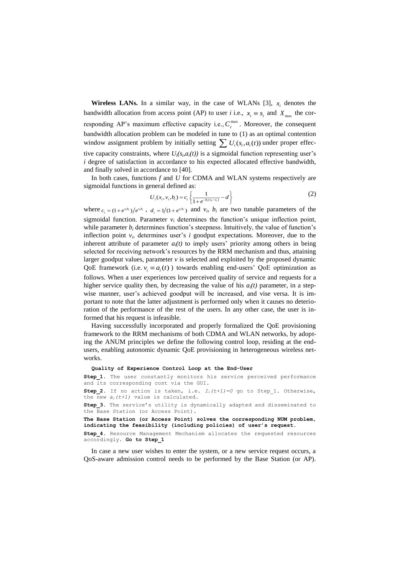**Wireless LANs.** In a similar way, in the case of WLANs [3],  $x_i$  denotes the bandwidth allocation from access point (AP) to user *i* i.e.,  $x_i \equiv s_i$  and  $X_{\text{max}}$  the corresponding AP's maximum effective capacity i.e.,  $C_c^{\max}$ . Moreover, the consequent bandwidth allocation problem can be modeled in tune to (1) as an optimal contention window assignment problem by initially setting  $\sum U_i(s_i, a_i(t))$  under proper effective capacity constraints, where  $U_i(s_i, a_i(t))$  is a sigmoidal function representing user's *i* degree of satisfaction in accordance to his expected allocated effective bandwidth, and finally solved in accordance to [\[40\]](#page-21-14).

In both cases, functions *f* and *U* for CDMA and WLAN systems respectively are sigmoidal functions in general defined as:<br> $U_i(x_i, v_i, b_i) = c_i \left\{ \frac{1}{1 - \sum_{i=1}^{n} a_i \cdot c_i} \right\}$ 

$$
U_i(x_i, v_i, b_i) = c_i \left\{ \frac{1}{1 + e^{-b_i(x_i - v_i)}} - d \right\}
$$
 (2)

where  $c_i = (1 + e^{v_i h_i})/e^{v_i h_i}$ ,  $d_i = 1/(1 + e^{v_i h_i})$  and  $v_i$ ,  $b_i$  are two tunable parameters of the sigmoidal function. Parameter  $v_i$  determines the function's unique inflection point, while parameter  $b_i$  determines function's steepness. Intuitively, the value of function's inflection point  $v_i$ , determines user's  $i$  goodput expectations. Moreover, due to the inherent attribute of parameter  $a_i(t)$  to imply users' priority among others in being selected for receiving network's resources by the RRM mechanism and thus, attaining larger goodput values, parameter *v* is selected and exploited by the proposed dynamic QoE framework (i.e.  $v_i \equiv a_i(t)$ ) towards enabling end-users' QoE optimization as follows. When a user experiences low perceived quality of service and requests for a higher service quality then, by decreasing the value of his  $a_i(t)$  parameter, in a stepwise manner, user's achieved goodput will be increased, and vise versa. It is important to note that the latter adjustment is performed only when it causes no deterioration of the performance of the rest of the users. In any other case, the user is informed that his request is infeasible.

Having successfully incorporated and properly formalized the QoE provisioning framework to the RRM mechanisms of both CDMA and WLAN networks, by adopting the ANUM principles we define the following control loop, residing at the endusers, enabling autonomic dynamic QoE provisioning in heterogeneous wireless networks.

#### **Quality of Experience Control Loop at the End-User**

Step 1. The user constantly monitors his service perceived performance and its corresponding cost via the GUI. **Step\_2.** If no action is taken, i.e. *Ii(t+1)=0* go to Step\_1. Otherwise, the new *ai(t+1)* value is calculated. **Step 3.** The service's utility is dynamically adapted and disseminated to the Base Station (or Access Point). **The Base Station (or Access Point) solves the corresponding NUM problem, indicating the feasibility (including policies) of user's request. Step\_4.** Resource Management Mechanism allocates the requested resources accordingly. **Go to Step\_1**

In case a new user wishes to enter the system, or a new service request occurs, a QoS-aware admission control needs to be performed by the Base Station (or AP).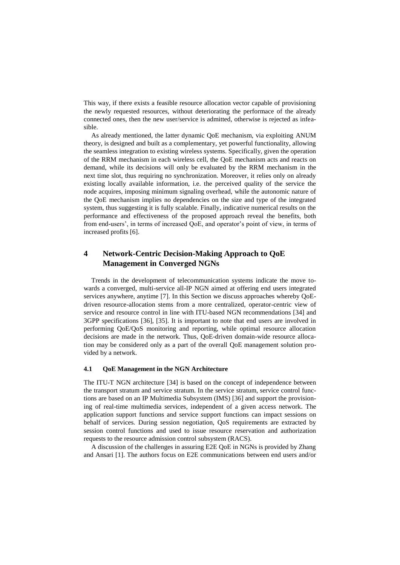This way, if there exists a feasible resource allocation vector capable of provisioning the newly requested resources, without deteriorating the performace of the already connected ones, then the new user/service is admitted, otherwise is rejected as infeasible.

As already mentioned, the latter dynamic QoE mechanism, via exploiting ANUM theory, is designed and built as a complementary, yet powerful functionality, allowing the seamless integration to existing wireless systems. Specifically, given the operation of the RRM mechanism in each wireless cell, the QoE mechanism acts and reacts on demand, while its decisions will only be evaluated by the RRM mechanism in the next time slot, thus requiring no synchronization. Moreover, it relies only on already existing locally available information, i.e. the perceived quality of the service the node acquires, imposing minimum signaling overhead, while the autonomic nature of the QoE mechanism implies no dependencies on the size and type of the integrated system, thus suggesting it is fully scalable. Finally, indicative numerical results on the performance and effectiveness of the proposed approach reveal the benefits, both from end-users', in terms of increased QoE, and operator's point of view, in terms of increased profits [\[6\]](#page-19-1).

## **4 Network-Centric Decision-Making Approach to QoE Management in Converged NGNs**

Trends in the development of telecommunication systems indicate the move towards a converged, multi-service all-IP NGN aimed at offering end users integrated services anywhere, anytime [\[7\]](#page-19-7). In this Section we discuss approaches whereby QoEdriven resource-allocation stems from a more centralized, operator-centric view of service and resource control in line with ITU-based NGN recommendations [\[34\]](#page-21-15) and 3GPP specifications [\[36\]](#page-21-16), [\[35\]](#page-21-17). It is important to note that end users are involved in performing QoE/QoS monitoring and reporting, while optimal resource allocation decisions are made in the network. Thus, QoE-driven domain-wide resource allocation may be considered only as a part of the overall QoE management solution provided by a network.

### **4.1 QoE Management in the NGN Architecture**

The ITU-T NGN architecture [\[34\]](#page-21-15) is based on the concept of independence between the transport stratum and service stratum. In the service stratum, service control functions are based on an IP Multimedia Subsystem (IMS) [\[36\]](#page-21-16) and support the provisioning of real-time multimedia services, independent of a given access network. The application support functions and service support functions can impact sessions on behalf of services. During session negotiation, QoS requirements are extracted by session control functions and used to issue resource reservation and authorization requests to the resource admission control subsystem (RACS).

A discussion of the challenges in assuring E2E QoE in NGNs is provided by Zhang and Ansari [\[1\]](#page-19-4). The authors focus on E2E communications between end users and/or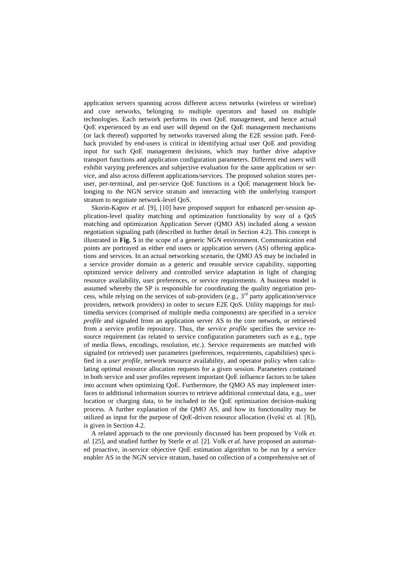application servers spanning across different access networks (wireless or wireline) and core networks, belonging to multiple operators and based on multiple technologies. Each network performs its own QoE management, and hence actual QoE experienced by an end user will depend on the QoE management mechanisms (or lack thereof) supported by networks traversed along the E2E session path. Feedback provided by end-users is critical in identifying actual user QoE and providing input for such QoE management decisions, which may further drive adaptive transport functions and application configuration parameters. Different end users will exhibit varying preferences and subjective evaluation for the same application or service, and also across different applications/services. The proposed solution stores peruser, per-terminal, and per-service QoE functions in a QoE management block belonging to the NGN service stratum and interacting with the underlying transport stratum to negotiate network-level QoS.

Skorin-Kapov *et al.* [\[9\]](#page-20-4), [\[10\]](#page-20-5) have proposed support for enhanced per-session application-level quality matching and optimization functionality by way of a QoS matching and optimization Application Server (QMO AS) included along a session negotiation signaling path (described in further detail in Section [4.2\)](#page-14-0). This concept is illustrated in **[Fig. 5](#page-14-1)** in the scope of a generic NGN environment. Communication end points are portrayed as either end users or application servers (AS) offering applications and services. In an actual networking scenario, the QMO AS may be included in a service provider domain as a generic and reusable service capability, supporting optimized service delivery and controlled service adaptation in light of changing resource availability, user preferences, or service requirements. A business model is assumed whereby the SP is responsible for coordinating the quality negotiation process, while relying on the services of sub-providers (e.g.,  $3<sup>rd</sup>$  party application/service providers, network providers) in order to secure E2E QoS. Utility mappings for multimedia services (comprised of multiple media components) are specified in a *service profile* and signaled from an application server AS to the core network, or retrieved from a service profile repository. Thus, the *service profile* specifies the service resource requirement (as related to service configuration parameters such as e.g., type of media flows, encodings, resolution, etc.). Service requirements are matched with signaled (or retrieved) user parameters (preferences, requirements, capabilities) specified in a *user profile*, network resource availability, and operator policy when calculating optimal resource allocation requests for a given session. Parameters contained in both service and user profiles represent important QoE influence factors to be taken into account when optimizing QoE. Furthermore, the QMO AS may implement interfaces to additional information sources to retrieve additional contextual data, e.g., user location or charging data, to be included in the QoE optimization decision-making process. A further explanation of the QMO AS, and how its functionality may be utilized as input for the purpose of QoE-driven resource allocation (Ivešić et. al. [\[8\]](#page-19-6)), is given in Section [4.2.](#page-14-0)

A related approach to the one previously discussed has been proposed by Volk *et. al.* [\[25\]](#page-20-17), and studied further by Sterle *et al.* [\[2\]](#page-19-5). Volk *et al.* have proposed an automated proactive, in-service objective QoE estimation algorithm to be run by a service enabler AS in the NGN service stratum, based on collection of a comprehensive set of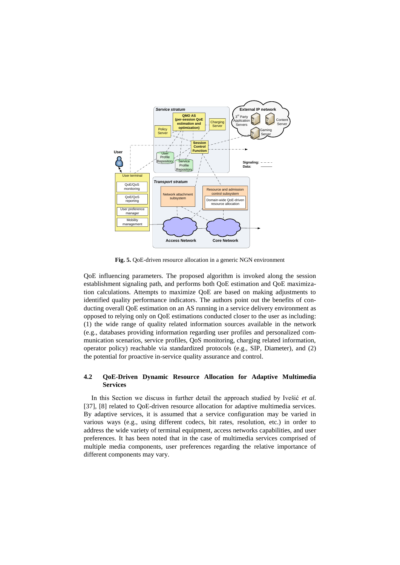

**Fig. 5.** QoE-driven resource allocation in a generic NGN environment

<span id="page-14-1"></span>QoE influencing parameters. The proposed algorithm is invoked along the session establishment signaling path, and performs both QoE estimation and QoE maximization calculations. Attempts to maximize QoE are based on making adjustments to identified quality performance indicators. The authors point out the benefits of conducting overall QoE estimation on an AS running in a service delivery environment as opposed to relying only on QoE estimations conducted closer to the user as including: (1) the wide range of quality related information sources available in the network (e.g., databases providing information regarding user profiles and personalized communication scenarios, service profiles, QoS monitoring, charging related information, operator policy) reachable via standardized protocols (e.g., SIP, Diameter), and (2) the potential for proactive in-service quality assurance and control.

## <span id="page-14-0"></span>**4.2 QoE-Driven Dynamic Resource Allocation for Adaptive Multimedia Services**

In this Section we discuss in further detail the approach studied by Ivešić *et al.* [\[37\]](#page-21-18), [\[8\]](#page-19-6) related to QoE-driven resource allocation for adaptive multimedia services. By adaptive services, it is assumed that a service configuration may be varied in various ways (e.g., using different codecs, bit rates, resolution, etc.) in order to address the wide variety of terminal equipment, access networks capabilities, and user preferences. It has been noted that in the case of multimedia services comprised of multiple media components, user preferences regarding the relative importance of different components may vary.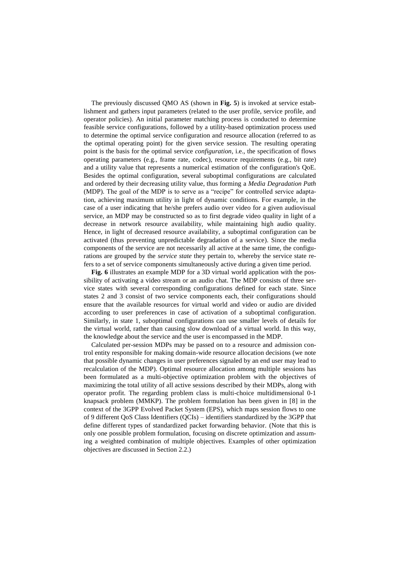The previously discussed QMO AS (shown in **[Fig. 5](#page-14-1)**) is invoked at service establishment and gathers input parameters (related to the user profile, service profile, and operator policies). An initial parameter matching process is conducted to determine feasible service configurations, followed by a utility-based optimization process used to determine the optimal service configuration and resource allocation (referred to as the optimal operating point) for the given service session. The resulting operating point is the basis for the optimal service *configuration*, i.e., the specification of flows operating parameters (e.g., frame rate, codec), resource requirements (e.g., bit rate) and a utility value that represents a numerical estimation of the configuration's QoE. Besides the optimal configuration, several suboptimal configurations are calculated and ordered by their decreasing utility value, thus forming a *Media Degradation Path* (MDP). The goal of the MDP is to serve as a "recipe" for controlled service adaptation, achieving maximum utility in light of dynamic conditions. For example, in the case of a user indicating that he/she prefers audio over video for a given audiovisual service, an MDP may be constructed so as to first degrade video quality in light of a decrease in network resource availability, while maintaining high audio quality. Hence, in light of decreased resource availability, a suboptimal configuration can be activated (thus preventing unpredictable degradation of a service). Since the media components of the service are not necessarily all active at the same time, the configurations are grouped by the *service state* they pertain to, whereby the service state refers to a set of service components simultaneously active during a given time period.

**[Fig. 6](#page-16-0)** illustrates an example MDP for a 3D virtual world application with the possibility of activating a video stream or an audio chat. The MDP consists of three service states with several corresponding configurations defined for each state. Since states 2 and 3 consist of two service components each, their configurations should ensure that the available resources for virtual world and video or audio are divided according to user preferences in case of activation of a suboptimal configuration. Similarly, in state 1, suboptimal configurations can use smaller levels of details for the virtual world, rather than causing slow download of a virtual world. In this way, the knowledge about the service and the user is encompassed in the MDP.

Calculated per-session MDPs may be passed on to a resource and admission control entity responsible for making domain-wide resource allocation decisions (we note that possible dynamic changes in user preferences signaled by an end user may lead to recalculation of the MDP). Optimal resource allocation among multiple sessions has been formulated as a multi-objective optimization problem with the objectives of maximizing the total utility of all active sessions described by their MDPs, along with operator profit. The regarding problem class is multi-choice multidimensional 0-1 knapsack problem (MMKP). The problem formulation has been given in [\[8\]](#page-19-6) in the context of the 3GPP Evolved Packet System (EPS), which maps session flows to one of 9 different QoS Class Identifiers (QCIs) – identifiers standardized by the 3GPP that define different types of standardized packet forwarding behavior. (Note that this is only one possible problem formulation, focusing on discrete optimization and assuming a weighted combination of multiple objectives. Examples of other optimization objectives are discussed in Section [2.2.](#page-3-0))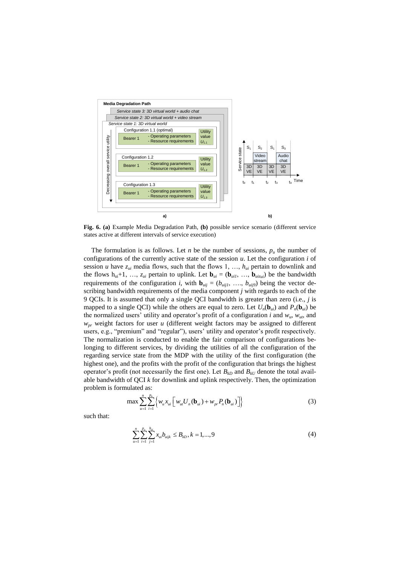

<span id="page-16-0"></span>**Fig. 6. (a)** Example Media Degradation Path, **(b)** possible service scenario (different service states active at different intervals of service execution)

The formulation is as follows. Let *n* be the number of sessions,  $p_u$  the number of configurations of the currently active state of the session *u*. Let the configuration *i* of session *u* have  $z_{ui}$  media flows, such that the flows 1, …,  $h_{ui}$  pertain to downlink and the flows  $h_{ui}+1$ , …,  $z_{ui}$  pertain to uplink. Let  $\mathbf{b}_{ui} = (\mathbf{b}_{ui1}, \dots, \mathbf{b}_{ui2ui})$  be the bandwidth requirements of the configuration *i*, with  $\mathbf{b}_{uij} = (b_{uij1}, \ldots, b_{uij9})$  being the vector describing bandwidth requirements of the media component *j* with regards to each of the 9 QCIs. It is assumed that only a single QCI bandwidth is greater than zero (i.e., *j* is mapped to a single QCI) while the others are equal to zero. Let  $U_n(\mathbf{b}_{ui})$  and  $P_n(\mathbf{b}_{ui})$  be the normalized users' utility and operator's profit of a configuration *i* and  $w_u$ ,  $w_{ut}$ , and  $w_{pr}$  weight factors for user *u* (different weight factors may be assigned to different users, e.g., "premium" and "regular"), users' utility and operator's profit respectively. The normalization is conducted to enable the fair comparison of configurations belonging to different services, by dividing the utilities of all the configuration of the regarding service state from the MDP with the utility of the first configuration (the highest one), and the profits with the profit of the configuration that brings the highest operator's profit (not necessarily the first one). Let  $B_{kD}$  and  $B_{kU}$  denote the total available bandwidth of QCI *k* for downlink and uplink respectively. Then, the optimization problem is formulated as:

$$
\max \sum_{u=1}^{n} \sum_{i=1}^{p_u} \left\{ w_u x_{ui} \left[ w_u U_n(\mathbf{b}_{ui}) + w_{pr} P_n(\mathbf{b}_{ui}) \right] \right\} \tag{3}
$$

such that:

$$
\sum_{u=1}^{n} \sum_{i=1}^{p_u} \sum_{j=1}^{h_{ui}} x_{ui} b_{uijk} \leq B_{kD}, k = 1, ..., 9
$$
\n(4)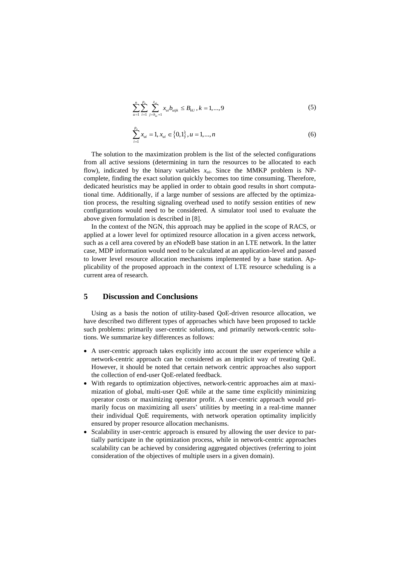$$
\sum_{u=1}^{n} \sum_{i=1}^{p_u} \sum_{j=h_{ui}+1}^{z_{ui}} x_{ui} b_{uijk} \leq B_{kU}, k = 1,...,9
$$
\n(5)

$$
\sum_{i=1}^{p_u} x_{ui} = 1, x_{ui} \in \{0, 1\}, u = 1, ..., n
$$
 (6)

The solution to the maximization problem is the list of the selected configurations from all active sessions (determining in turn the resources to be allocated to each flow), indicated by the binary variables *xui*. Since the MMKP problem is NPcomplete, finding the exact solution quickly becomes too time consuming. Therefore, dedicated heuristics may be applied in order to obtain good results in short computational time. Additionally, if a large number of sessions are affected by the optimization process, the resulting signaling overhead used to notify session entities of new configurations would need to be considered. A simulator tool used to evaluate the above given formulation is described in [\[8\]](#page-19-6).

In the context of the NGN, this approach may be applied in the scope of RACS, or applied at a lower level for optimized resource allocation in a given access network, such as a cell area covered by an eNodeB base station in an LTE network. In the latter case, MDP information would need to be calculated at an application-level and passed to lower level resource allocation mechanisms implemented by a base station. Applicability of the proposed approach in the context of LTE resource scheduling is a current area of research.

## **5 Discussion and Conclusions**

Using as a basis the notion of utility-based QoE-driven resource allocation, we have described two different types of approaches which have been proposed to tackle such problems: primarily user-centric solutions, and primarily network-centric solutions. We summarize key differences as follows:

- A user-centric approach takes explicitly into account the user experience while a network-centric approach can be considered as an implicit way of treating QoE. However, it should be noted that certain network centric approaches also support the collection of end-user QoE-related feedback.
- With regards to optimization objectives, network-centric approaches aim at maximization of global, multi-user QoE while at the same time explicitly minimizing operator costs or maximizing operator profit. A user-centric approach would primarily focus on maximizing all users' utilities by meeting in a real-time manner their individual QoE requirements, with network operation optimality implicitly ensured by proper resource allocation mechanisms.
- Scalability in user-centric approach is ensured by allowing the user device to partially participate in the optimization process, while in network-centric approaches scalability can be achieved by considering aggregated objectives (referring to joint consideration of the objectives of multiple users in a given domain).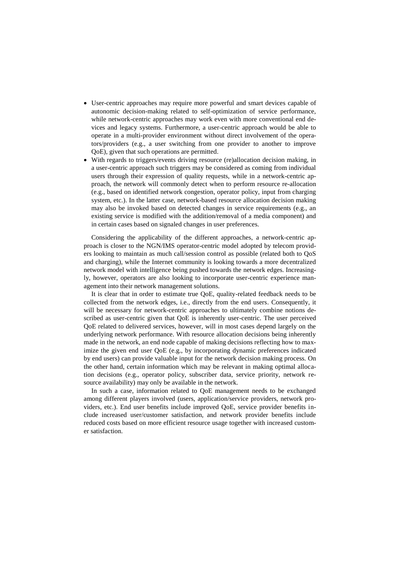- User-centric approaches may require more powerful and smart devices capable of autonomic decision-making related to self-optimization of service performance, while network-centric approaches may work even with more conventional end devices and legacy systems. Furthermore, a user-centric approach would be able to operate in a multi-provider environment without direct involvement of the operators/providers (e.g., a user switching from one provider to another to improve QoE), given that such operations are permitted.
- With regards to triggers/events driving resource (re)allocation decision making, in a user-centric approach such triggers may be considered as coming from individual users through their expression of quality requests, while in a network-centric approach, the network will commonly detect when to perform resource re-allocation (e.g., based on identified network congestion, operator policy, input from charging system, etc.). In the latter case, network-based resource allocation decision making may also be invoked based on detected changes in service requirements (e.g., an existing service is modified with the addition/removal of a media component) and in certain cases based on signaled changes in user preferences.

Considering the applicability of the different approaches, a network-centric approach is closer to the NGN/IMS operator-centric model adopted by telecom providers looking to maintain as much call/session control as possible (related both to QoS and charging), while the Internet community is looking towards a more decentralized network model with intelligence being pushed towards the network edges. Increasingly, however, operators are also looking to incorporate user-centric experience management into their network management solutions.

It is clear that in order to estimate true QoE, quality-related feedback needs to be collected from the network edges, i.e., directly from the end users. Consequently, it will be necessary for network-centric approaches to ultimately combine notions described as user-centric given that QoE is inherently user-centric. The user perceived QoE related to delivered services, however, will in most cases depend largely on the underlying network performance. With resource allocation decisions being inherently made in the network, an end node capable of making decisions reflecting how to maximize the given end user QoE (e.g., by incorporating dynamic preferences indicated by end users) can provide valuable input for the network decision making process. On the other hand, certain information which may be relevant in making optimal allocation decisions (e.g., operator policy, subscriber data, service priority, network resource availability) may only be available in the network.

In such a case, information related to QoE management needs to be exchanged among different players involved (users, application/service providers, network providers, etc.). End user benefits include improved QoE, service provider benefits include increased user/customer satisfaction, and network provider benefits include reduced costs based on more efficient resource usage together with increased customer satisfaction.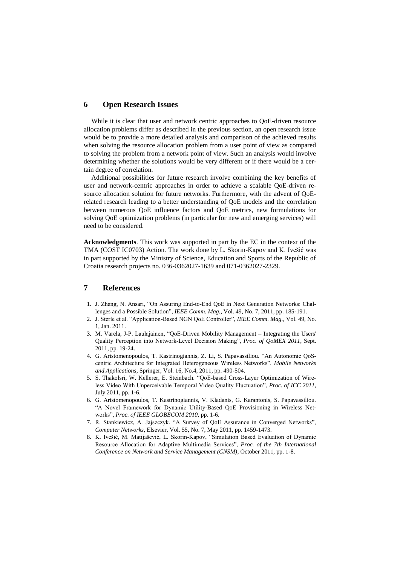## **6 Open Research Issues**

While it is clear that user and network centric approaches to QoE-driven resource allocation problems differ as described in the previous section, an open research issue would be to provide a more detailed analysis and comparison of the achieved results when solving the resource allocation problem from a user point of view as compared to solving the problem from a network point of view. Such an analysis would involve determining whether the solutions would be very different or if there would be a certain degree of correlation.

Additional possibilities for future research involve combining the key benefits of user and network-centric approaches in order to achieve a scalable QoE-driven resource allocation solution for future networks. Furthermore, with the advent of QoErelated research leading to a better understanding of QoE models and the correlation between numerous QoE influence factors and QoE metrics, new formulations for solving QoE optimization problems (in particular for new and emerging services) will need to be considered.

**Acknowledgments**. This work was supported in part by the EC in the context of the TMA (COST IC0703) Action. The work done by L. Skorin-Kapov and K. Ivešić was in part supported by the Ministry of Science, Education and Sports of the Republic of Croatia research projects no. 036-0362027-1639 and 071-0362027-2329.

## **7 References**

- <span id="page-19-4"></span>1. J. Zhang, N. Ansari, "On Assuring End-to-End QoE in Next Generation Networks: Challenges and a Possible Solution", *IEEE Comm. Mag.*, Vol. 49, No. 7, 2011, pp. 185-191.
- <span id="page-19-5"></span>2. J. Sterle et al. "Application-Based NGN QoE Controller", *IEEE Comm. Mag.*, Vol. 49, No. 1, Jan. 2011.
- <span id="page-19-3"></span>3. M. Varela, J-P. Laulajainen, "QoE-Driven Mobility Management – Integrating the Users' Quality Perception into Network-Level Decision Making", *Proc. of QoMEX 2011*, Sept. 2011, pp. 19-24.
- <span id="page-19-2"></span>4. G. Aristomenopoulos, T. Kastrinogiannis, Z. Li, S. Papavassiliou. "An Autonomic QoScentric Architecture for Integrated Heterogeneous Wireless Networks", *Mobile Networks and Applications*, Springer, Vol. 16, No.4, 2011, pp. 490-504.
- <span id="page-19-0"></span>5. S. Thakolsri, W. Kellerer, E. Steinbach. "QoE-based Cross-Layer Optimization of Wireless Video With Unperceivable Temporal Video Quality Fluctuation", *Proc. of ICC 2011*, July 2011, pp. 1-6.
- <span id="page-19-1"></span>6. G. Aristomenopoulos, T. Kastrinogiannis, V. Kladanis, G. Karantonis, S. Papavassiliou. "A Novel Framework for Dynamic Utility-Based QoE Provisioning in Wireless Networks", *Proc. of IEEE GLOBECOM 2010*, pp. 1-6.
- <span id="page-19-7"></span>7. R. Stankiewicz, A. Jajszczyk. "A Survey of QoE Assurance in Converged Networks", *Computer Networks*, Elsevier, Vol. 55, No. 7, May 2011, pp. 1459-1473.
- <span id="page-19-6"></span>8. K. Ivešić, M. Matijašević, L. Skorin-Kapov, "Simulation Based Evaluation of Dynamic Resource Allocation for Adaptive Multimedia Services", *Proc. of the 7th International Conference on Network and Service Management (CNSM)*, October 2011, pp. 1-8.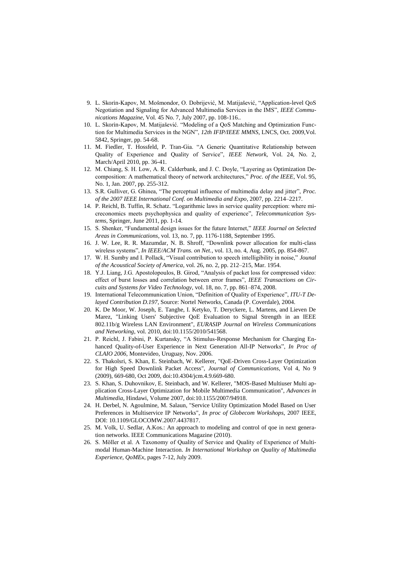- <span id="page-20-4"></span>9. L. Skorin-Kapov, M. Mošmondor, O. Dobrijević, M. Matijašević, "Application-level QoS Negotiation and Signaling for Advanced Multimedia Services in the IMS", *IEEE Communications Magazine*, Vol. 45 No. 7, July 2007, pp. 108-116..
- <span id="page-20-5"></span>10. L. Skorin-Kapov, M. Matijašević. "Modeling of a QoS Matching and Optimization Function for Multimedia Services in the NGN", *12th IFIP/IEEE MMNS*, LNCS, Oct. 2009,Vol. 5842, Springer, pp. 54-68.
- <span id="page-20-0"></span>11. M. Fiedler, T. Hossfeld, P. Tran-Gia. "A Generic Quantitative Relationship between Quality of Experience and Quality of Service", *IEEE Network*, Vol. 24, No. 2, March/April 2010, pp. 36-41.
- <span id="page-20-3"></span>12. M. Chiang, S. H. Low, A. R. Calderbank, and J. C. Doyle, "Layering as Optimization Decomposition: A mathematical theory of network architectures," *Proc. of the IEEE*, Vol. 95, No. 1, Jan. 2007, pp. 255-312.
- <span id="page-20-1"></span>13. S.R. Gulliver, G. Ghinea, "The perceptual influence of multimedia delay and jitter", *Proc. of the 2007 IEEE International Conf. on Multimedia and Expo*, 2007, pp. 2214–2217.
- <span id="page-20-2"></span>14. P. Reichl, B. Tuffin, R. Schatz. "Logarithmic laws in service quality perception: where micreconomics meets psychophysica and quality of experience", *Telecommunication Systems*, Springer, June 2011, pp. 1-14.
- <span id="page-20-6"></span>15. S. Shenker, "Fundamental design issues for the future Internet," *IEEE Journal on Selected Areas in Communications*, vol. 13, no. 7, pp. 1176-1188, September 1995.
- <span id="page-20-7"></span>16. J. W. Lee, R. R. Mazumdar, N. B. Shroff, "Downlink power allocation for multi-class wireless systems", *In IEEE/ACM Trans. on Net.*, vol. 13, no. 4, Aug. 2005, pp. 854-867.
- <span id="page-20-11"></span>17. W. H. Sumby and I. Pollack, "Visual contribution to speech intelligibility in noise," *Jounal of the Acoustical Society of America*, vol. 26, no. 2, pp. 212–215, Mar. 1954.
- <span id="page-20-12"></span>18. Y.J. Liang, J.G. Apostolopoulos, B. Girod, "Analysis of packet loss for compressed video: effect of burst losses and correlation between error frames", *IEEE Transactions on Circuits and Systems for Video Technology*, vol. 18, no. 7, pp. 861–874, 2008.
- <span id="page-20-13"></span>19. International Telecommunication Union, "Definition of Quality of Experience", *ITU-T Delayed Contribution D.197*, Source: Nortel Networks, Canada (P. Coverdale), 2004.
- <span id="page-20-10"></span>20. K. De Moor, W. Joseph, E. Tanghe, I. Ketyko, T. Deryckere, L. Martens, and Lieven De Marez, "Linking Users' Subjective QoE Evaluation to Signal Strength in an IEEE 802.11b/g Wireless LAN Environment", *EURASIP Journal on Wireless Communications and Networking*, vol. 2010, doi:10.1155/2010/541568.
- <span id="page-20-8"></span>21. P. Reichl, J. Fabini, P. Kurtansky, "A Stimulus-Response Mechanism for Charging Enhanced Quality-of-User Experience in Next Generation All-IP Networks", *In Proc of CLAIO 2006,* Montevideo, Uruguay, Nov. 2006.
- <span id="page-20-14"></span>22. S. Thakolsri, S. Khan, E. Steinbach, W. Kellerer, "QoE-Driven Cross-Layer Optimization for High Speed Downlink Packet Access", *Journal of Communications*, Vol 4, No 9 (2009), 669-680, Oct 2009, doi:10.4304/jcm.4.9.669-680.
- <span id="page-20-15"></span>23. S. Khan, S. Duhovnikov, E. Steinbach, and W. Kellerer, "MOS-Based Multiuser Multi application Cross-Layer Optimization for Mobile Multimedia Communication", *Advances in Multimedia*, Hindawi, Volume 2007, doi:10.1155/2007/94918.
- <span id="page-20-16"></span>24. H. Derbel, N. Agoulmine, M. Salaun, "Service Utility Optimization Model Based on User Preferences in Multiservice IP Networks", *In proc of Globecom Workshops*, 2007 IEEE, DOI: 10.1109/GLOCOMW.2007.4437817.
- <span id="page-20-17"></span>25. M. Volk, U. Sedlar, A.Kos.: An approach to modeling and control of qoe in next generation networks. IEEE Communications Magazine (2010).
- <span id="page-20-9"></span>26. S. Möller et al. A Taxonomy of Quality of Service and Quality of Experience of Multimodal Human-Machine Interaction. *In International Workshop on Quality of Multimedia Experience, QoMEx*, pages 7-12, July 2009.